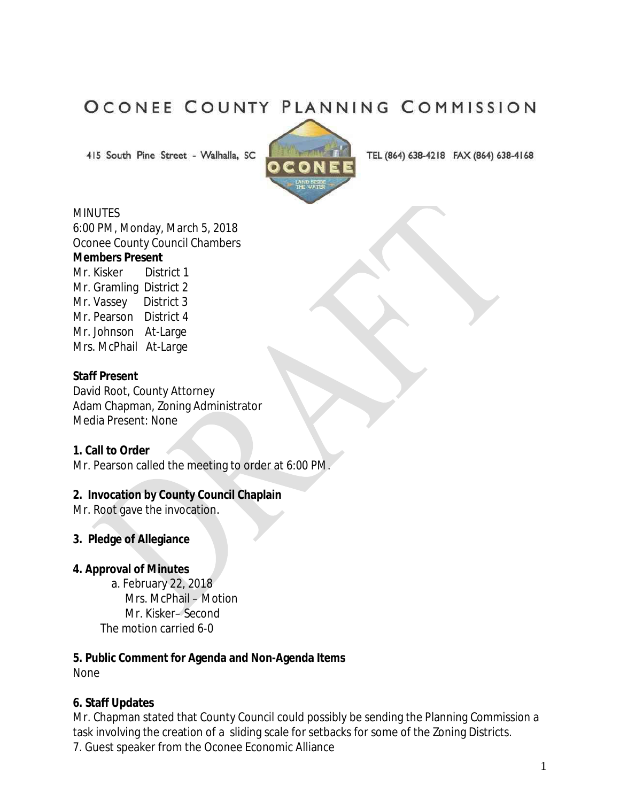# OCONEE COUNTY PLANNING COMMISSION

415 South Pine Street - Walhalla, SC



TEL (864) 638-4218 FAX (864) 638-4168

#### **MINUTES**

6:00 PM, Monday, March 5, 2018 Oconee County Council Chambers

#### **Members Present**

Mr. Kisker District 1 Mr. Gramling District 2 Mr. Vassey District 3 Mr. Pearson District 4 Mr. Johnson At-Large Mrs. McPhail At-Large

#### **Staff Present**

David Root, County Attorney Adam Chapman, Zoning Administrator Media Present: None

#### **1. Call to Order**

Mr. Pearson called the meeting to order at 6:00 PM.

## **2. Invocation by County Council Chaplain**

Mr. Root gave the invocation.

## **3. Pledge of Allegiance**

## **4. Approval of Minutes**

 a. February 22, 2018 Mrs. McPhail – Motion Mr. Kisker– Second The motion carried 6-0

#### **5. Public Comment for Agenda and Non-Agenda Items**  None

## **6. Staff Updates**

Mr. Chapman stated that County Council could possibly be sending the Planning Commission a task involving the creation of a sliding scale for setbacks for some of the Zoning Districts. 7. Guest speaker from the Oconee Economic Alliance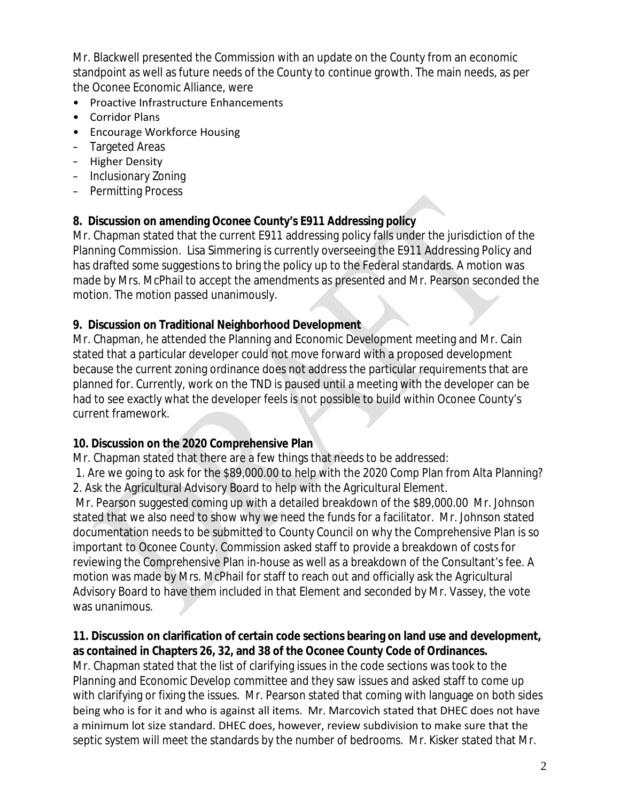Mr. Blackwell presented the Commission with an update on the County from an economic standpoint as well as future needs of the County to continue growth. The main needs, as per the Oconee Economic Alliance, were

- Proactive Infrastructure Enhancements
- Corridor Plans
- Encourage Workforce Housing
- Targeted Areas
- Higher Density
- Inclusionary Zoning
- Permitting Process

## **8. Discussion on amending Oconee County's E911 Addressing policy**

Mr. Chapman stated that the current E911 addressing policy falls under the jurisdiction of the Planning Commission. Lisa Simmering is currently overseeing the E911 Addressing Policy and has drafted some suggestions to bring the policy up to the Federal standards. A motion was made by Mrs. McPhail to accept the amendments as presented and Mr. Pearson seconded the motion. The motion passed unanimously.

## **9. Discussion on Traditional Neighborhood Development**

Mr. Chapman, he attended the Planning and Economic Development meeting and Mr. Cain stated that a particular developer could not move forward with a proposed development because the current zoning ordinance does not address the particular requirements that are planned for. Currently, work on the TND is paused until a meeting with the developer can be had to see exactly what the developer feels is not possible to build within Oconee County's current framework.

## **10. Discussion on the 2020 Comprehensive Plan**

Mr. Chapman stated that there are a few things that needs to be addressed:

1. Are we going to ask for the \$89,000.00 to help with the 2020 Comp Plan from Alta Planning? 2. Ask the Agricultural Advisory Board to help with the Agricultural Element.

Mr. Pearson suggested coming up with a detailed breakdown of the \$89,000.00 Mr. Johnson stated that we also need to show why we need the funds for a facilitator. Mr. Johnson stated documentation needs to be submitted to County Council on why the Comprehensive Plan is so important to Oconee County. Commission asked staff to provide a breakdown of costs for reviewing the Comprehensive Plan in-house as well as a breakdown of the Consultant's fee. A motion was made by Mrs. McPhail for staff to reach out and officially ask the Agricultural Advisory Board to have them included in that Element and seconded by Mr. Vassey, the vote was unanimous.

## **11. Discussion on clarification of certain code sections bearing on land use and development, as contained in Chapters 26, 32, and 38 of the Oconee County Code of Ordinances.**

Mr. Chapman stated that the list of clarifying issues in the code sections was took to the Planning and Economic Develop committee and they saw issues and asked staff to come up with clarifying or fixing the issues. Mr. Pearson stated that coming with language on both sides being who is for it and who is against all items. Mr. Marcovich stated that DHEC does not have a minimum lot size standard. DHEC does, however, review subdivision to make sure that the septic system will meet the standards by the number of bedrooms. Mr. Kisker stated that Mr.